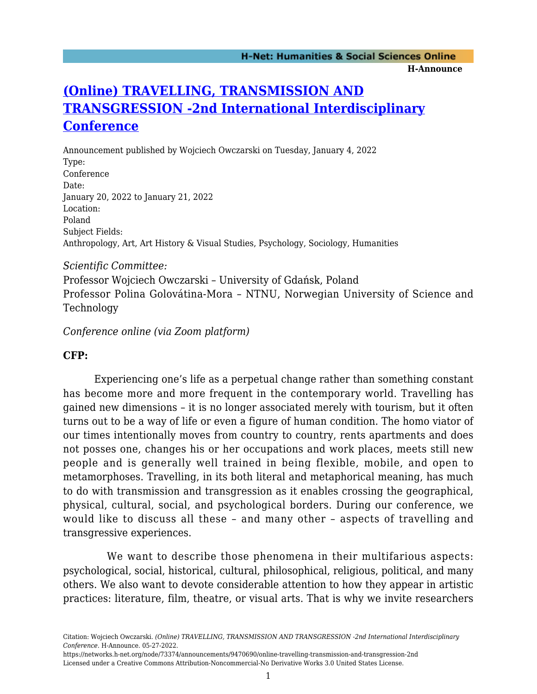# **[\(Online\) TRAVELLING, TRANSMISSION AND](https://networks.h-net.org/node/73374/announcements/9470690/online-travelling-transmission-and-transgression-2nd) [TRANSGRESSION -2nd International Interdisciplinary](https://networks.h-net.org/node/73374/announcements/9470690/online-travelling-transmission-and-transgression-2nd) [Conference](https://networks.h-net.org/node/73374/announcements/9470690/online-travelling-transmission-and-transgression-2nd)**

Announcement published by Wojciech Owczarski on Tuesday, January 4, 2022 Type: Conference Date: January 20, 2022 to January 21, 2022 Location: Poland Subject Fields: Anthropology, Art, Art History & Visual Studies, Psychology, Sociology, Humanities

#### *Scientific Committee:*

Professor Wojciech Owczarski – University of Gdańsk, Poland Professor Polina Golovátina-Mora – NTNU, Norwegian University of Science and Technology

## *Conference online (via Zoom platform)*

## **CFP:**

 Experiencing one's life as a perpetual change rather than something constant has become more and more frequent in the contemporary world. Travelling has gained new dimensions – it is no longer associated merely with tourism, but it often turns out to be a way of life or even a figure of human condition. The homo viator of our times intentionally moves from country to country, rents apartments and does not posses one, changes his or her occupations and work places, meets still new people and is generally well trained in being flexible, mobile, and open to metamorphoses. Travelling, in its both literal and metaphorical meaning, has much to do with transmission and transgression as it enables crossing the geographical, physical, cultural, social, and psychological borders. During our conference, we would like to discuss all these – and many other – aspects of travelling and transgressive experiences.

 We want to describe those phenomena in their multifarious aspects: psychological, social, historical, cultural, philosophical, religious, political, and many others. We also want to devote considerable attention to how they appear in artistic practices: literature, film, theatre, or visual arts. That is why we invite researchers

Citation: Wojciech Owczarski. *(Online) TRAVELLING, TRANSMISSION AND TRANSGRESSION -2nd International Interdisciplinary Conference*. H-Announce. 05-27-2022.

https://networks.h-net.org/node/73374/announcements/9470690/online-travelling-transmission-and-transgression-2nd Licensed under a Creative Commons Attribution-Noncommercial-No Derivative Works 3.0 United States License.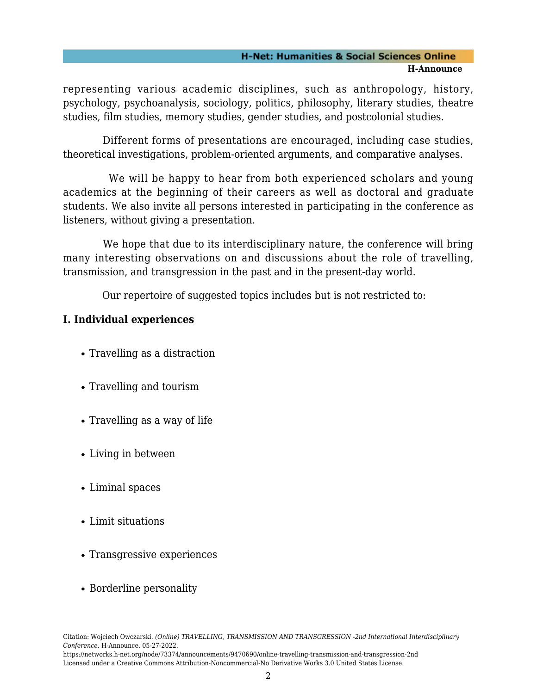#### **H-Net: Humanities & Social Sciences Online H-Announce**

representing various academic disciplines, such as anthropology, history, psychology, psychoanalysis, sociology, politics, philosophy, literary studies, theatre studies, film studies, memory studies, gender studies, and postcolonial studies.

 Different forms of presentations are encouraged, including case studies, theoretical investigations, problem-oriented arguments, and comparative analyses.

 We will be happy to hear from both experienced scholars and young academics at the beginning of their careers as well as doctoral and graduate students. We also invite all persons interested in participating in the conference as listeners, without giving a presentation.

We hope that due to its interdisciplinary nature, the conference will bring many interesting observations on and discussions about the role of travelling, transmission, and transgression in the past and in the present-day world.

Our repertoire of suggested topics includes but is not restricted to:

# **I. Individual experiences**

- Travelling as a distraction
- Travelling and tourism
- Travelling as a way of life
- Living in between
- Liminal spaces
- Limit situations
- Transgressive experiences
- Borderline personality

https://networks.h-net.org/node/73374/announcements/9470690/online-travelling-transmission-and-transgression-2nd Licensed under a Creative Commons Attribution-Noncommercial-No Derivative Works 3.0 United States License.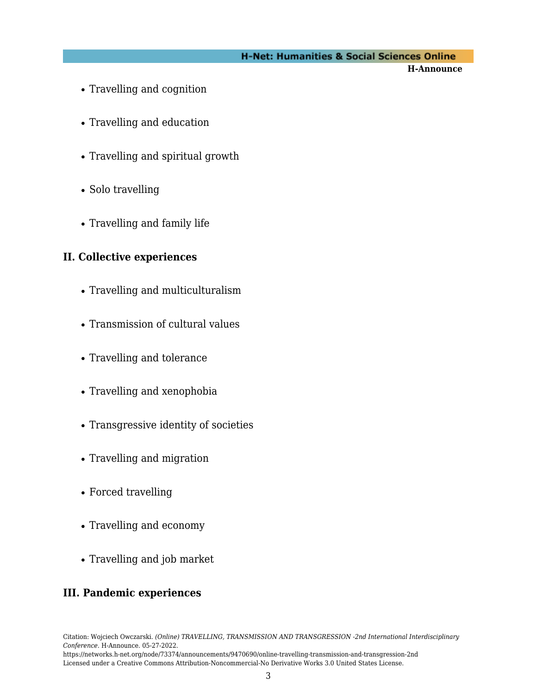## **H-Net: Humanities & Social Sciences Online**

**H-Announce** 

- Travelling and cognition
- Travelling and education
- Travelling and spiritual growth
- Solo travelling
- Travelling and family life

## **II. Collective experiences**

- Travelling and multiculturalism
- Transmission of cultural values
- Travelling and tolerance
- Travelling and xenophobia
- Transgressive identity of societies
- Travelling and migration
- Forced travelling
- Travelling and economy
- Travelling and job market

# **III. Pandemic experiences**

Citation: Wojciech Owczarski. *(Online) TRAVELLING, TRANSMISSION AND TRANSGRESSION -2nd International Interdisciplinary Conference*. H-Announce. 05-27-2022.

https://networks.h-net.org/node/73374/announcements/9470690/online-travelling-transmission-and-transgression-2nd Licensed under a Creative Commons Attribution-Noncommercial-No Derivative Works 3.0 United States License.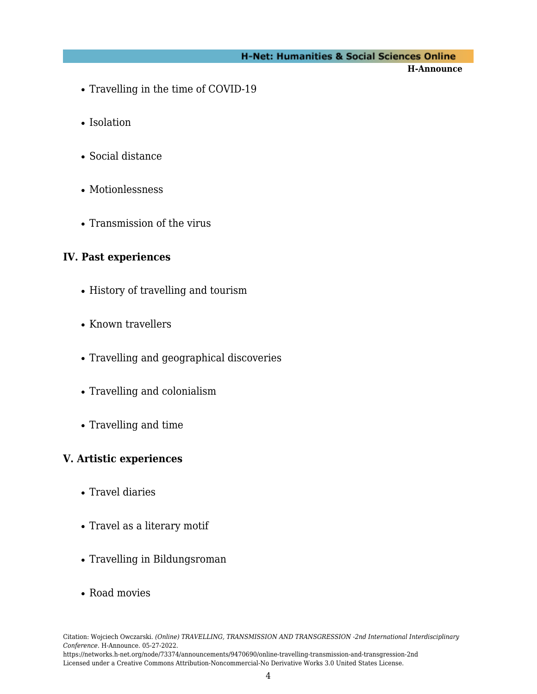#### **H-Net: Humanities & Social Sciences Online**

**H-Announce** 

- Travelling in the time of COVID-19
- Isolation
- Social distance
- Motionlessness
- Transmission of the virus

#### **IV. Past experiences**

- History of travelling and tourism
- Known travellers
- Travelling and geographical discoveries
- Travelling and colonialism
- Travelling and time

#### **V. Artistic experiences**

- Travel diaries
- Travel as a literary motif
- Travelling in Bildungsroman
- Road movies

https://networks.h-net.org/node/73374/announcements/9470690/online-travelling-transmission-and-transgression-2nd Licensed under a Creative Commons Attribution-Noncommercial-No Derivative Works 3.0 United States License.